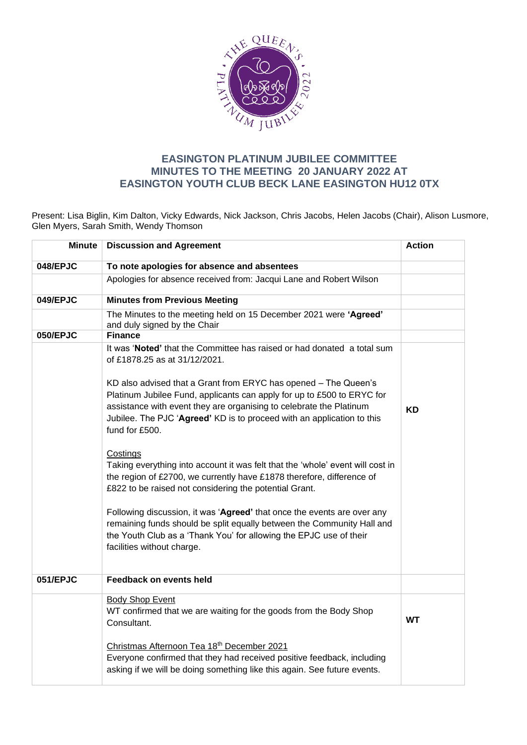

## **EASINGTON PLATINUM JUBILEE COMMITTEE MINUTES TO THE MEETING 20 JANUARY 2022 AT EASINGTON YOUTH CLUB BECK LANE EASINGTON HU12 0TX**

Present: Lisa Biglin, Kim Dalton, Vicky Edwards, Nick Jackson, Chris Jacobs, Helen Jacobs (Chair), Alison Lusmore, Glen Myers, Sarah Smith, Wendy Thomson

| <b>Minute</b> | <b>Discussion and Agreement</b>                                                                                                                                                                                                                       | <b>Action</b> |
|---------------|-------------------------------------------------------------------------------------------------------------------------------------------------------------------------------------------------------------------------------------------------------|---------------|
| 048/EPJC      | To note apologies for absence and absentees                                                                                                                                                                                                           |               |
|               | Apologies for absence received from: Jacqui Lane and Robert Wilson                                                                                                                                                                                    |               |
| 049/EPJC      | <b>Minutes from Previous Meeting</b>                                                                                                                                                                                                                  |               |
|               | The Minutes to the meeting held on 15 December 2021 were 'Agreed'<br>and duly signed by the Chair                                                                                                                                                     |               |
| 050/EPJC      | <b>Finance</b>                                                                                                                                                                                                                                        |               |
|               | It was 'Noted' that the Committee has raised or had donated a total sum<br>of £1878.25 as at 31/12/2021.<br>KD also advised that a Grant from ERYC has opened - The Queen's<br>Platinum Jubilee Fund, applicants can apply for up to £500 to ERYC for |               |
|               | assistance with event they are organising to celebrate the Platinum<br>Jubilee. The PJC 'Agreed' KD is to proceed with an application to this<br>fund for £500.                                                                                       | <b>KD</b>     |
|               | Costings<br>Taking everything into account it was felt that the 'whole' event will cost in<br>the region of £2700, we currently have £1878 therefore, difference of<br>£822 to be raised not considering the potential Grant.                         |               |
|               | Following discussion, it was 'Agreed' that once the events are over any<br>remaining funds should be split equally between the Community Hall and<br>the Youth Club as a 'Thank You' for allowing the EPJC use of their<br>facilities without charge. |               |
| 051/EPJC      | Feedback on events held                                                                                                                                                                                                                               |               |
|               | <b>Body Shop Event</b><br>WT confirmed that we are waiting for the goods from the Body Shop<br>Consultant.                                                                                                                                            | <b>WT</b>     |
|               | Christmas Afternoon Tea 18th December 2021<br>Everyone confirmed that they had received positive feedback, including<br>asking if we will be doing something like this again. See future events.                                                      |               |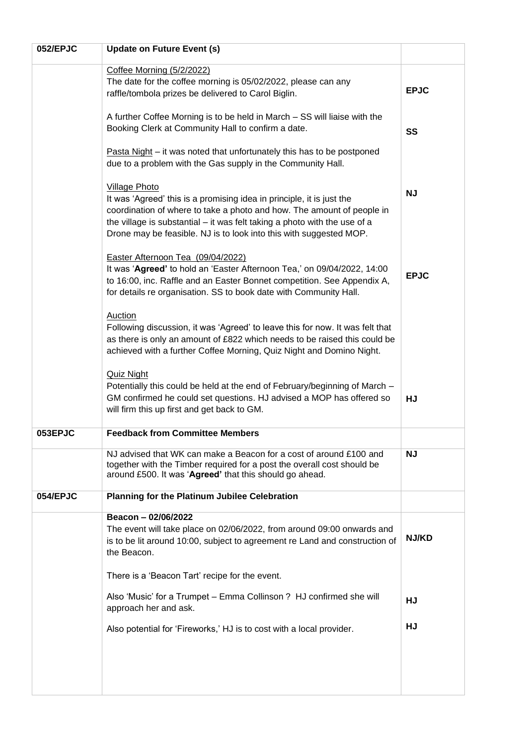| 052/EPJC | <b>Update on Future Event (s)</b>                                                                                                                                                                                                  |              |
|----------|------------------------------------------------------------------------------------------------------------------------------------------------------------------------------------------------------------------------------------|--------------|
|          | Coffee Morning (5/2/2022)                                                                                                                                                                                                          |              |
|          | The date for the coffee morning is 05/02/2022, please can any                                                                                                                                                                      | <b>EPJC</b>  |
|          | raffle/tombola prizes be delivered to Carol Biglin.                                                                                                                                                                                |              |
|          | A further Coffee Morning is to be held in March - SS will liaise with the                                                                                                                                                          |              |
|          | Booking Clerk at Community Hall to confirm a date.                                                                                                                                                                                 | SS           |
|          | Pasta Night – it was noted that unfortunately this has to be postponed<br>due to a problem with the Gas supply in the Community Hall.                                                                                              |              |
|          | <b>Village Photo</b>                                                                                                                                                                                                               |              |
|          | It was 'Agreed' this is a promising idea in principle, it is just the                                                                                                                                                              | <b>NJ</b>    |
|          | coordination of where to take a photo and how. The amount of people in<br>the village is substantial – it was felt taking a photo with the use of a<br>Drone may be feasible. NJ is to look into this with suggested MOP.          |              |
|          | Easter Afternoon Tea (09/04/2022)                                                                                                                                                                                                  |              |
|          | It was 'Agreed' to hold an 'Easter Afternoon Tea,' on 09/04/2022, 14:00<br>to 16:00, inc. Raffle and an Easter Bonnet competition. See Appendix A,<br>for details re organisation. SS to book date with Community Hall.            | <b>EPJC</b>  |
|          | <b>Auction</b>                                                                                                                                                                                                                     |              |
|          | Following discussion, it was 'Agreed' to leave this for now. It was felt that<br>as there is only an amount of £822 which needs to be raised this could be<br>achieved with a further Coffee Morning, Quiz Night and Domino Night. |              |
|          | <b>Quiz Night</b>                                                                                                                                                                                                                  |              |
|          | Potentially this could be held at the end of February/beginning of March -<br>GM confirmed he could set questions. HJ advised a MOP has offered so<br>will firm this up first and get back to GM.                                  | HJ           |
| 053EPJC  | <b>Feedback from Committee Members</b>                                                                                                                                                                                             |              |
|          | NJ advised that WK can make a Beacon for a cost of around £100 and<br>together with the Timber required for a post the overall cost should be<br>around £500. It was 'Agreed' that this should go ahead.                           | <b>NJ</b>    |
| 054/EPJC | Planning for the Platinum Jubilee Celebration                                                                                                                                                                                      |              |
|          | Beacon - 02/06/2022                                                                                                                                                                                                                |              |
|          | The event will take place on 02/06/2022, from around 09:00 onwards and<br>is to be lit around 10:00, subject to agreement re Land and construction of<br>the Beacon.                                                               | <b>NJ/KD</b> |
|          | There is a 'Beacon Tart' recipe for the event.                                                                                                                                                                                     |              |
|          | Also 'Music' for a Trumpet - Emma Collinson ? HJ confirmed she will<br>approach her and ask.                                                                                                                                       | HJ           |
|          | Also potential for 'Fireworks,' HJ is to cost with a local provider.                                                                                                                                                               | HJ           |
|          |                                                                                                                                                                                                                                    |              |
|          |                                                                                                                                                                                                                                    |              |
|          |                                                                                                                                                                                                                                    |              |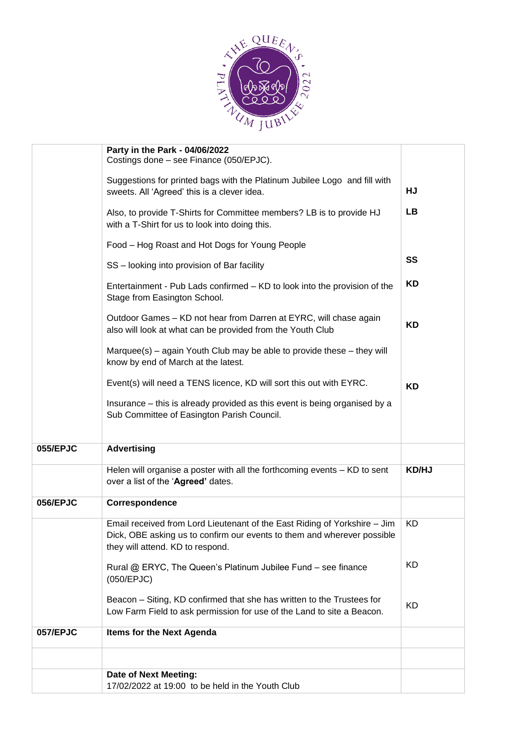

|          | Party in the Park - 04/06/2022<br>Costings done - see Finance (050/EPJC).                                                                                                                |              |
|----------|------------------------------------------------------------------------------------------------------------------------------------------------------------------------------------------|--------------|
|          | Suggestions for printed bags with the Platinum Jubilee Logo and fill with<br>sweets. All 'Agreed' this is a clever idea.                                                                 | HJ           |
|          | Also, to provide T-Shirts for Committee members? LB is to provide HJ<br>with a T-Shirt for us to look into doing this.                                                                   | <b>LB</b>    |
|          | Food - Hog Roast and Hot Dogs for Young People                                                                                                                                           |              |
|          | SS - looking into provision of Bar facility                                                                                                                                              | SS           |
|          | Entertainment - Pub Lads confirmed - KD to look into the provision of the<br>Stage from Easington School.                                                                                | KD           |
|          | Outdoor Games - KD not hear from Darren at EYRC, will chase again<br>also will look at what can be provided from the Youth Club                                                          | <b>KD</b>    |
|          | Marquee(s) - again Youth Club may be able to provide these - they will<br>know by end of March at the latest.                                                                            |              |
|          | Event(s) will need a TENS licence, KD will sort this out with EYRC.                                                                                                                      | <b>KD</b>    |
|          | Insurance - this is already provided as this event is being organised by a<br>Sub Committee of Easington Parish Council.                                                                 |              |
| 055/EPJC | <b>Advertising</b>                                                                                                                                                                       |              |
|          | Helen will organise a poster with all the forthcoming events - KD to sent<br>over a list of the 'Agreed' dates.                                                                          | <b>KD/HJ</b> |
| 056/EPJC | Correspondence                                                                                                                                                                           |              |
|          | Email received from Lord Lieutenant of the East Riding of Yorkshire - Jim<br>Dick, OBE asking us to confirm our events to them and wherever possible<br>they will attend. KD to respond. | <b>KD</b>    |
|          | Rural @ ERYC, The Queen's Platinum Jubilee Fund - see finance<br>(050/EPJC)                                                                                                              | <b>KD</b>    |
|          | Beacon – Siting, KD confirmed that she has written to the Trustees for<br>Low Farm Field to ask permission for use of the Land to site a Beacon.                                         | <b>KD</b>    |
| 057/EPJC | Items for the Next Agenda                                                                                                                                                                |              |
|          |                                                                                                                                                                                          |              |
|          | Date of Next Meeting:<br>17/02/2022 at 19:00 to be held in the Youth Club                                                                                                                |              |